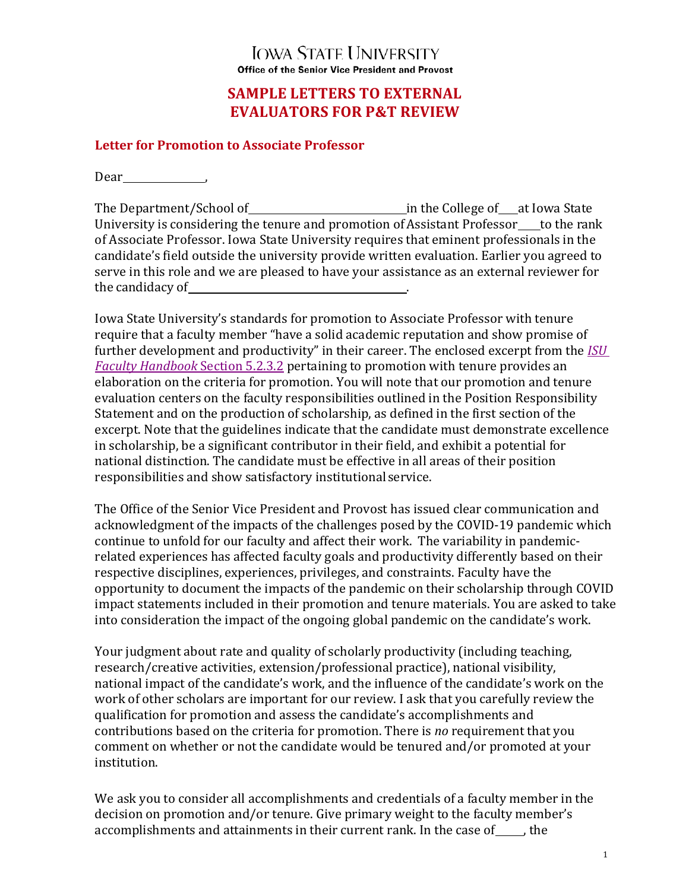## **IOWA STATE UNIVERSITY** Office of the Senior Vice President and Provost

# **SAMPLE LETTERS TO EXTERNAL EVALUATORS FOR P&T REVIEW**

#### **Letter for Promotion to Associate Professor**

Dear
bundan bear
bear
bless
bless
bless
bless
bless
bless
bless
bless
bless
bless
bless
bless
bless
bless
bless
bless
bless
bless
bless
bless
bless
bless
bless
bless
bless
bless
bless
bless
bless
bless
bless
bless
bless
bl

The Department/School of in the College of at Iowa State University is considering the tenure and promotion of Assistant Professor to the rank of Associate Professor. Iowa State University requires that eminent professionals in the candidate's field outside the university provide written evaluation. Earlier you agreed to serve in this role and we are pleased to have your assistance as an external reviewer for the candidacy of .

Iowa State University's standards for promotion to Associate Professor with tenure require that a faculty member "have a solid academic reputation and show promise of further development and productivity" in their career. The enclosed excerpt from the **ISU** *Faculty Handbook* Section 5.2.3.2 pertaining to promotion with tenure provides an elaboration on the criteria for promotion. You will note that our promotion and tenure evaluation centers on the faculty responsibilities outlined in the Position Responsibility Statement and on the production of scholarship, as defined in the first section of the excerpt. Note that the guidelines indicate that the candidate must demonstrate excellence in scholarship, be a significant contributor in their field, and exhibit a potential for national distinction. The candidate must be effective in all areas of their position responsibilities and show satisfactory institutional service.

The Office of the Senior Vice President and Provost has issued clear communication and acknowledgment of the impacts of the challenges posed by the COVID-19 pandemic which continue to unfold for our faculty and affect their work. The variability in pandemicrelated experiences has affected faculty goals and productivity differently based on their respective disciplines, experiences, privileges, and constraints. Faculty have the opportunity to document the impacts of the pandemic on their scholarship through COVID impact statements included in their promotion and tenure materials. You are asked to take into consideration the impact of the ongoing global pandemic on the candidate's work.

Your judgment about rate and quality of scholarly productivity (including teaching, research/creative activities, extension/professional practice), national visibility, national impact of the candidate's work, and the influence of the candidate's work on the work of other scholars are important for our review. I ask that you carefully review the qualification for promotion and assess the candidate's accomplishments and contributions based on the criteria for promotion. There is *no* requirement that you comment on whether or not the candidate would be tenured and/or promoted at your institution.

We ask you to consider all accomplishments and credentials of a faculty member in the decision on promotion and/or tenure. Give primary weight to the faculty member's accomplishments and attainments in their current rank. In the case of , the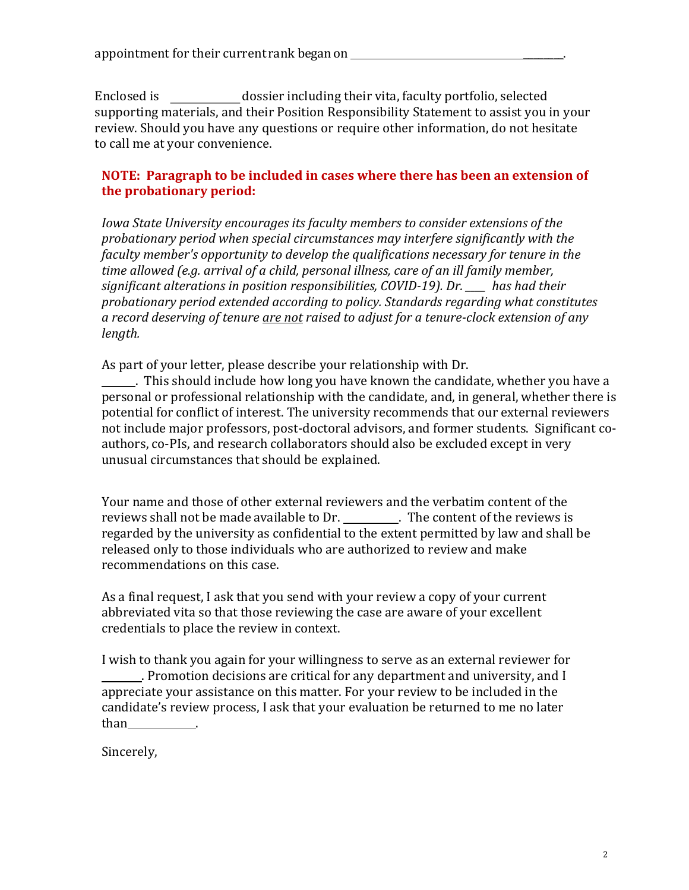Enclosed is dossier including their vita, faculty portfolio, selected supporting materials, and their Position Responsibility Statement to assist you in your review. Should you have any questions or require other information, do not hesitate to call me at your convenience.

### **NOTE:** Paragraph to be included in cases where there has been an extension of **the probationary period:**

*Iowa State University encourages its faculty members to consider extensions of the* probationary period when special circumstances may interfere significantly with the *faculty member's opportunity to develop the qualifications necessary for tenure in the* time allowed (e.g. arrival of a child, personal illness, care of an ill family member, significant alterations in position responsibilities, COVID-19). Dr. \_\_\_ has had their probationary period extended according to policy. Standards regarding what constitutes a record deserving of tenure <u>are not</u> raised to adjust for a tenure-clock extension of any *length.* 

As part of your letter, please describe your relationship with Dr.

. This should include how long you have known the candidate, whether you have a personal or professional relationship with the candidate, and, in general, whether there is potential for conflict of interest. The university recommends that our external reviewers not include major professors, post-doctoral advisors, and former students. Significant coauthors, co-PIs, and research collaborators should also be excluded except in very unusual circumstances that should be explained.

Your name and those of other external reviewers and the verbatim content of the reviews shall not be made available to Dr. \_\_\_\_\_\_\_\_. The content of the reviews is regarded by the university as confidential to the extent permitted by law and shall be released only to those individuals who are authorized to review and make recommendations on this case.

As a final request, I ask that you send with your review a copy of your current abbreviated vita so that those reviewing the case are aware of your excellent credentials to place the review in context.

I wish to thank you again for your willingness to serve as an external reviewer for . Promotion decisions are critical for any department and university, and I appreciate your assistance on this matter. For your review to be included in the candidate's review process, I ask that your evaluation be returned to me no later than

Sincerely,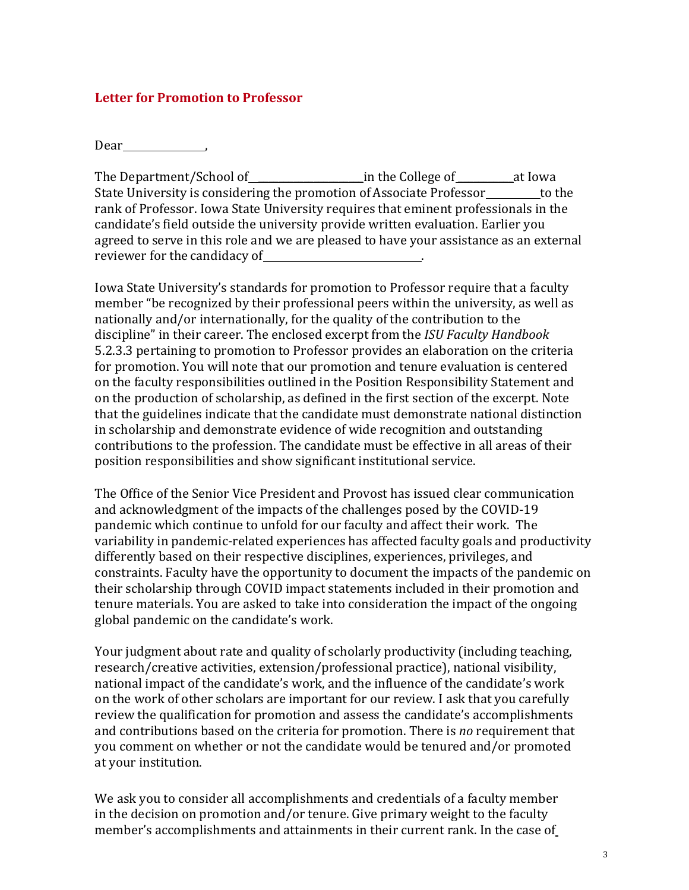#### **Letter for Promotion to Professor**

Dear ,

The Department/School of \_\_\_\_\_\_\_\_\_\_\_\_\_\_\_\_\_\_\_\_\_\_\_\_in the College of \_\_\_\_\_\_\_\_\_\_\_at Iowa State University is considering the promotion of Associate Professor to the rank of Professor. Iowa State University requires that eminent professionals in the candidate's field outside the university provide written evaluation. Earlier you agreed to serve in this role and we are pleased to have your assistance as an external reviewer for the candidacy of  $\blacksquare$ 

Iowa State University's standards for promotion to Professor require that a faculty member "be recognized by their professional peers within the university, as well as nationally and/or internationally, for the quality of the contribution to the discipline" in their career. The enclosed excerpt from the *ISU Faculty Handbook* 5.2.3.3 pertaining to promotion to Professor provides an elaboration on the criteria for promotion. You will note that our promotion and tenure evaluation is centered on the faculty responsibilities outlined in the Position Responsibility Statement and on the production of scholarship, as defined in the first section of the excerpt. Note that the guidelines indicate that the candidate must demonstrate national distinction in scholarship and demonstrate evidence of wide recognition and outstanding contributions to the profession. The candidate must be effective in all areas of their position responsibilities and show significant institutional service.

The Office of the Senior Vice President and Provost has issued clear communication and acknowledgment of the impacts of the challenges posed by the COVID-19 pandemic which continue to unfold for our faculty and affect their work. The variability in pandemic-related experiences has affected faculty goals and productivity differently based on their respective disciplines, experiences, privileges, and constraints. Faculty have the opportunity to document the impacts of the pandemic on their scholarship through COVID impact statements included in their promotion and tenure materials. You are asked to take into consideration the impact of the ongoing global pandemic on the candidate's work.

Your judgment about rate and quality of scholarly productivity (including teaching, research/creative activities, extension/professional practice), national visibility, national impact of the candidate's work, and the influence of the candidate's work on the work of other scholars are important for our review. I ask that you carefully review the qualification for promotion and assess the candidate's accomplishments and contributions based on the criteria for promotion. There is *no* requirement that you comment on whether or not the candidate would be tenured and/or promoted at your institution.

We ask you to consider all accomplishments and credentials of a faculty member in the decision on promotion and/or tenure. Give primary weight to the faculty member's accomplishments and attainments in their current rank. In the case of